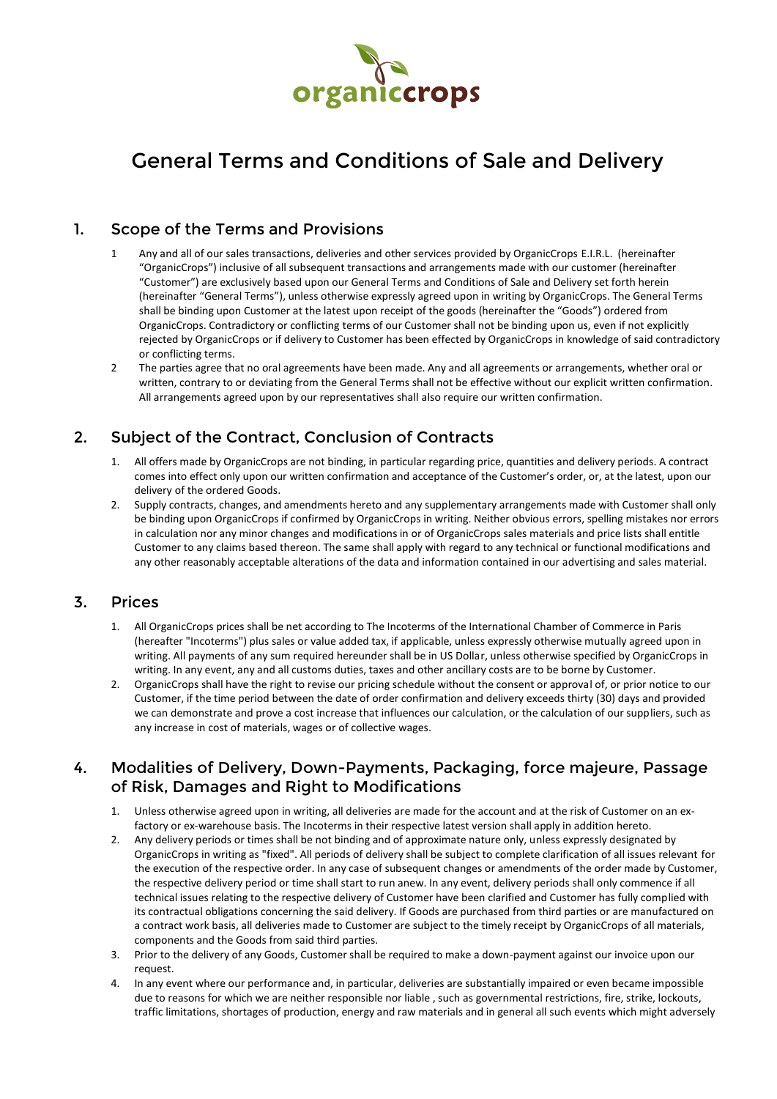

# General Terms and Conditions of Sale and Delivery

#### 1. Scope of the Terms and Provisions

- 1 Any and all of our sales transactions, deliveries and other services provided by OrganicCrops E.I.R.L. (hereinafter "OrganicCrops") inclusive of all subsequent transactions and arrangements made with our customer (hereinafter "Customer") are exclusively based upon our General Terms and Conditions of Sale and Delivery set forth herein (hereinafter "General Terms"), unless otherwise expressly agreed upon in writing by OrganicCrops. The General Terms shall be binding upon Customer at the latest upon receipt of the goods (hereinafter the "Goods") ordered from OrganicCrops. Contradictory or conflicting terms of our Customer shall not be binding upon us, even if not explicitly rejected by OrganicCrops or if delivery to Customer has been effected by OrganicCrops in knowledge of said contradictory or conflicting terms.
- 2 The parties agree that no oral agreements have been made. Any and all agreements or arrangements, whether oral or written, contrary to or deviating from the General Terms shall not be effective without our explicit written confirmation. All arrangements agreed upon by our representatives shall also require our written confirmation.

## 2. Subject of the Contract, Conclusion of Contracts

- 1. All offers made by OrganicCrops are not binding, in particular regarding price, quantities and delivery periods. A contract comes into effect only upon our written confirmation and acceptance of the Customer's order, or, at the latest, upon our delivery of the ordered Goods.
- 2. Supply contracts, changes, and amendments hereto and any supplementary arrangements made with Customer shall only be binding upon OrganicCrops if confirmed by OrganicCrops in writing. Neither obvious errors, spelling mistakes nor errors in calculation nor any minor changes and modifications in or of OrganicCrops sales materials and price lists shall entitle Customer to any claims based thereon. The same shall apply with regard to any technical or functional modifications and any other reasonably acceptable alterations of the data and information contained in our advertising and sales material.

#### 3. Prices

- 1. All OrganicCrops prices shall be net according to The Incoterms of the International Chamber of Commerce in Paris (hereafter "Incoterms") plus sales or value added tax, if applicable, unless expressly otherwise mutually agreed upon in writing. All payments of any sum required hereunder shall be in US Dollar, unless otherwise specified by OrganicCrops in writing. In any event, any and all customs duties, taxes and other ancillary costs are to be borne by Customer.
- 2. OrganicCrops shall have the right to revise our pricing schedule without the consent or approval of, or prior notice to our Customer, if the time period between the date of order confirmation and delivery exceeds thirty (30) days and provided we can demonstrate and prove a cost increase that influences our calculation, or the calculation of our suppliers, such as any increase in cost of materials, wages or of collective wages.

## 4. Modalities of Delivery, Down-Payments, Packaging, force majeure, Passage of Risk, Damages and Right to Modifications

- 1. Unless otherwise agreed upon in writing, all deliveries are made for the account and at the risk of Customer on an exfactory or ex-warehouse basis. The Incoterms in their respective latest version shall apply in addition hereto.
- 2. Any delivery periods or times shall be not binding and of approximate nature only, unless expressly designated by OrganicCrops in writing as "fixed". All periods of delivery shall be subject to complete clarification of all issues relevant for the execution of the respective order. In any case of subsequent changes or amendments of the order made by Customer, the respective delivery period or time shall start to run anew. In any event, delivery periods shall only commence if all technical issues relating to the respective delivery of Customer have been clarified and Customer has fully complied with its contractual obligations concerning the said delivery. If Goods are purchased from third parties or are manufactured on a contract work basis, all deliveries made to Customer are subject to the timely receipt by OrganicCrops of all materials, components and the Goods from said third parties.
- 3. Prior to the delivery of any Goods, Customer shall be required to make a down-payment against our invoice upon our request.
- 4. In any event where our performance and, in particular, deliveries are substantially impaired or even became impossible due to reasons for which we are neither responsible nor liable , such as governmental restrictions, fire, strike, lockouts, traffic limitations, shortages of production, energy and raw materials and in general all such events which might adversely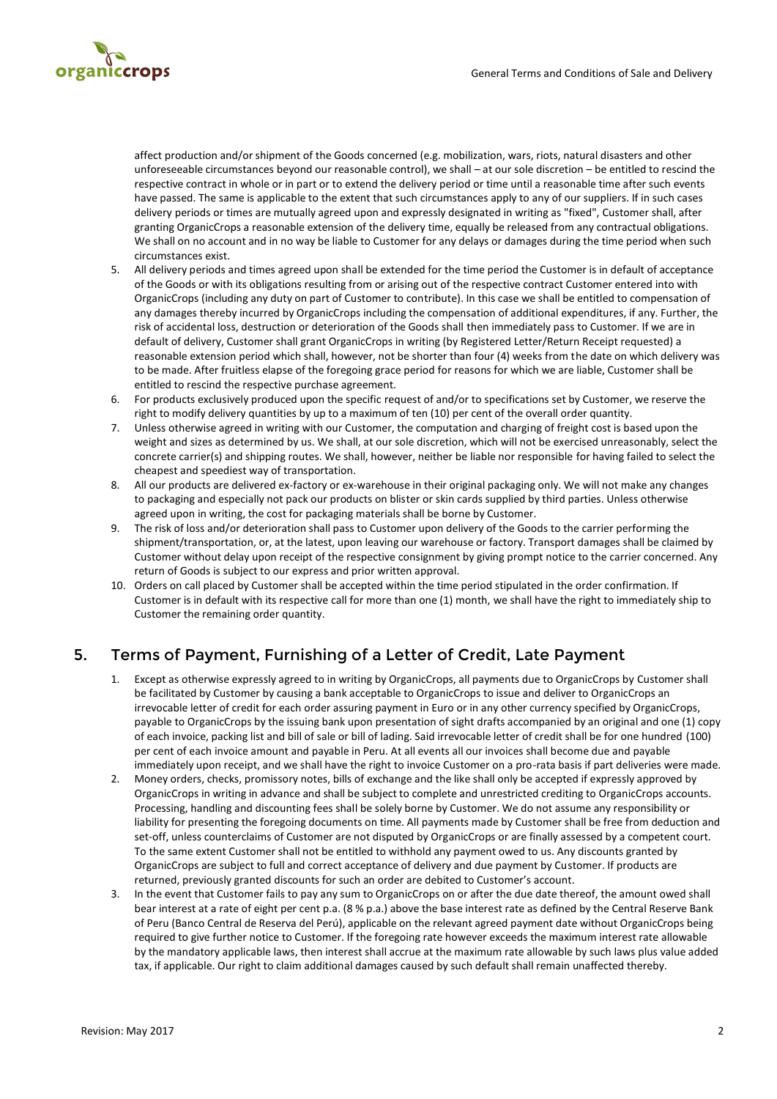

affect production and/or shipment of the Goods concerned (e.g. mobilization, wars, riots, natural disasters and other unforeseeable circumstances beyond our reasonable control), we shall – at our sole discretion – be entitled to rescind the respective contract in whole or in part or to extend the delivery period or time until a reasonable time after such events have passed. The same is applicable to the extent that such circumstances apply to any of our suppliers. If in such cases delivery periods or times are mutually agreed upon and expressly designated in writing as "fixed", Customer shall, after granting OrganicCrops a reasonable extension of the delivery time, equally be released from any contractual obligations. We shall on no account and in no way be liable to Customer for any delays or damages during the time period when such circumstances exist.

- 5. All delivery periods and times agreed upon shall be extended for the time period the Customer is in default of acceptance of the Goods or with its obligations resulting from or arising out of the respective contract Customer entered into with OrganicCrops (including any duty on part of Customer to contribute). In this case we shall be entitled to compensation of any damages thereby incurred by OrganicCrops including the compensation of additional expenditures, if any. Further, the risk of accidental loss, destruction or deterioration of the Goods shall then immediately pass to Customer. If we are in default of delivery, Customer shall grant OrganicCrops in writing (by Registered Letter/Return Receipt requested) a reasonable extension period which shall, however, not be shorter than four (4) weeks from the date on which delivery was to be made. After fruitless elapse of the foregoing grace period for reasons for which we are liable, Customer shall be entitled to rescind the respective purchase agreement.
- 6. For products exclusively produced upon the specific request of and/or to specifications set by Customer, we reserve the right to modify delivery quantities by up to a maximum of ten (10) per cent of the overall order quantity.
- 7. Unless otherwise agreed in writing with our Customer, the computation and charging of freight cost is based upon the weight and sizes as determined by us. We shall, at our sole discretion, which will not be exercised unreasonably, select the concrete carrier(s) and shipping routes. We shall, however, neither be liable nor responsible for having failed to select the cheapest and speediest way of transportation.
- 8. All our products are delivered ex-factory or ex-warehouse in their original packaging only. We will not make any changes to packaging and especially not pack our products on blister or skin cards supplied by third parties. Unless otherwise agreed upon in writing, the cost for packaging materials shall be borne by Customer.
- 9. The risk of loss and/or deterioration shall pass to Customer upon delivery of the Goods to the carrier performing the shipment/transportation, or, at the latest, upon leaving our warehouse or factory. Transport damages shall be claimed by Customer without delay upon receipt of the respective consignment by giving prompt notice to the carrier concerned. Any return of Goods is subject to our express and prior written approval.
- 10. Orders on call placed by Customer shall be accepted within the time period stipulated in the order confirmation. If Customer is in default with its respective call for more than one (1) month, we shall have the right to immediately ship to Customer the remaining order quantity.

#### 5. Terms of Payment, Furnishing of a Letter of Credit, Late Payment

- 1. Except as otherwise expressly agreed to in writing by OrganicCrops, all payments due to OrganicCrops by Customer shall be facilitated by Customer by causing a bank acceptable to OrganicCrops to issue and deliver to OrganicCrops an irrevocable letter of credit for each order assuring payment in Euro or in any other currency specified by OrganicCrops, payable to OrganicCrops by the issuing bank upon presentation of sight drafts accompanied by an original and one (1) copy of each invoice, packing list and bill of sale or bill of lading. Said irrevocable letter of credit shall be for one hundred (100) per cent of each invoice amount and payable in Peru. At all events all our invoices shall become due and payable immediately upon receipt, and we shall have the right to invoice Customer on a pro-rata basis if part deliveries were made.
- 2. Money orders, checks, promissory notes, bills of exchange and the like shall only be accepted if expressly approved by OrganicCrops in writing in advance and shall be subject to complete and unrestricted crediting to OrganicCrops accounts. Processing, handling and discounting fees shall be solely borne by Customer. We do not assume any responsibility or liability for presenting the foregoing documents on time. All payments made by Customer shall be free from deduction and set-off, unless counterclaims of Customer are not disputed by OrganicCrops or are finally assessed by a competent court. To the same extent Customer shall not be entitled to withhold any payment owed to us. Any discounts granted by OrganicCrops are subject to full and correct acceptance of delivery and due payment by Customer. If products are returned, previously granted discounts for such an order are debited to Customer's account.
- 3. In the event that Customer fails to pay any sum to OrganicCrops on or after the due date thereof, the amount owed shall bear interest at a rate of eight per cent p.a. (8 % p.a.) above the base interest rate as defined by the Central Reserve Bank of Peru (Banco Central de Reserva del Perú), applicable on the relevant agreed payment date without OrganicCrops being required to give further notice to Customer. If the foregoing rate however exceeds the maximum interest rate allowable by the mandatory applicable laws, then interest shall accrue at the maximum rate allowable by such laws plus value added tax, if applicable. Our right to claim additional damages caused by such default shall remain unaffected thereby.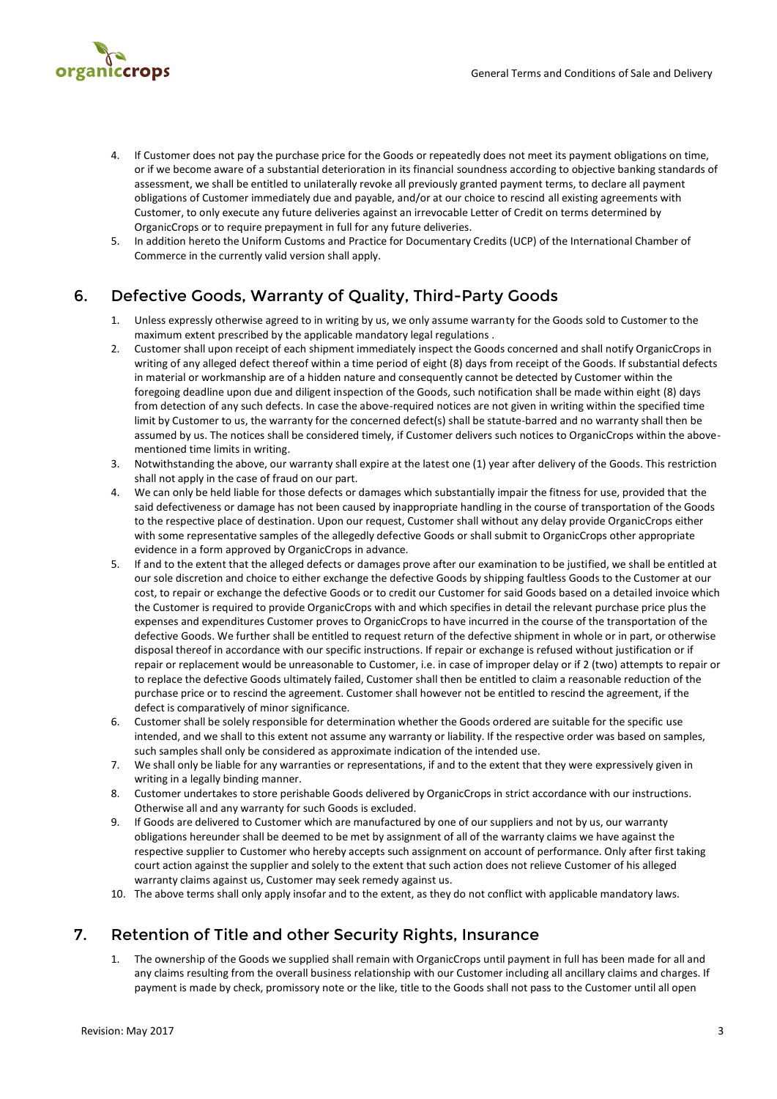

- 4. If Customer does not pay the purchase price for the Goods or repeatedly does not meet its payment obligations on time, or if we become aware of a substantial deterioration in its financial soundness according to objective banking standards of assessment, we shall be entitled to unilaterally revoke all previously granted payment terms, to declare all payment obligations of Customer immediately due and payable, and/or at our choice to rescind all existing agreements with Customer, to only execute any future deliveries against an irrevocable Letter of Credit on terms determined by OrganicCrops or to require prepayment in full for any future deliveries.
- 5. In addition hereto the Uniform Customs and Practice for Documentary Credits (UCP) of the International Chamber of Commerce in the currently valid version shall apply.

# 6. Defective Goods, Warranty of Quality, Third-Party Goods

- 1. Unless expressly otherwise agreed to in writing by us, we only assume warranty for the Goods sold to Customer to the maximum extent prescribed by the applicable mandatory legal regulations .
- 2. Customer shall upon receipt of each shipment immediately inspect the Goods concerned and shall notify OrganicCrops in writing of any alleged defect thereof within a time period of eight (8) days from receipt of the Goods. If substantial defects in material or workmanship are of a hidden nature and consequently cannot be detected by Customer within the foregoing deadline upon due and diligent inspection of the Goods, such notification shall be made within eight (8) days from detection of any such defects. In case the above-required notices are not given in writing within the specified time limit by Customer to us, the warranty for the concerned defect(s) shall be statute-barred and no warranty shall then be assumed by us. The notices shall be considered timely, if Customer delivers such notices to OrganicCrops within the abovementioned time limits in writing.
- 3. Notwithstanding the above, our warranty shall expire at the latest one (1) year after delivery of the Goods. This restriction shall not apply in the case of fraud on our part.
- 4. We can only be held liable for those defects or damages which substantially impair the fitness for use, provided that the said defectiveness or damage has not been caused by inappropriate handling in the course of transportation of the Goods to the respective place of destination. Upon our request, Customer shall without any delay provide OrganicCrops either with some representative samples of the allegedly defective Goods or shall submit to OrganicCrops other appropriate evidence in a form approved by OrganicCrops in advance.
- 5. If and to the extent that the alleged defects or damages prove after our examination to be justified, we shall be entitled at our sole discretion and choice to either exchange the defective Goods by shipping faultless Goods to the Customer at our cost, to repair or exchange the defective Goods or to credit our Customer for said Goods based on a detailed invoice which the Customer is required to provide OrganicCrops with and which specifies in detail the relevant purchase price plus the expenses and expenditures Customer proves to OrganicCrops to have incurred in the course of the transportation of the defective Goods. We further shall be entitled to request return of the defective shipment in whole or in part, or otherwise disposal thereof in accordance with our specific instructions. If repair or exchange is refused without justification or if repair or replacement would be unreasonable to Customer, i.e. in case of improper delay or if 2 (two) attempts to repair or to replace the defective Goods ultimately failed, Customer shall then be entitled to claim a reasonable reduction of the purchase price or to rescind the agreement. Customer shall however not be entitled to rescind the agreement, if the defect is comparatively of minor significance.
- 6. Customer shall be solely responsible for determination whether the Goods ordered are suitable for the specific use intended, and we shall to this extent not assume any warranty or liability. If the respective order was based on samples, such samples shall only be considered as approximate indication of the intended use.
- 7. We shall only be liable for any warranties or representations, if and to the extent that they were expressively given in writing in a legally binding manner.
- 8. Customer undertakes to store perishable Goods delivered by OrganicCrops in strict accordance with our instructions. Otherwise all and any warranty for such Goods is excluded.
- 9. If Goods are delivered to Customer which are manufactured by one of our suppliers and not by us, our warranty obligations hereunder shall be deemed to be met by assignment of all of the warranty claims we have against the respective supplier to Customer who hereby accepts such assignment on account of performance. Only after first taking court action against the supplier and solely to the extent that such action does not relieve Customer of his alleged warranty claims against us, Customer may seek remedy against us.
- 10. The above terms shall only apply insofar and to the extent, as they do not conflict with applicable mandatory laws.

#### 7. Retention of Title and other Security Rights, Insurance

1. The ownership of the Goods we supplied shall remain with OrganicCrops until payment in full has been made for all and any claims resulting from the overall business relationship with our Customer including all ancillary claims and charges. If payment is made by check, promissory note or the like, title to the Goods shall not pass to the Customer until all open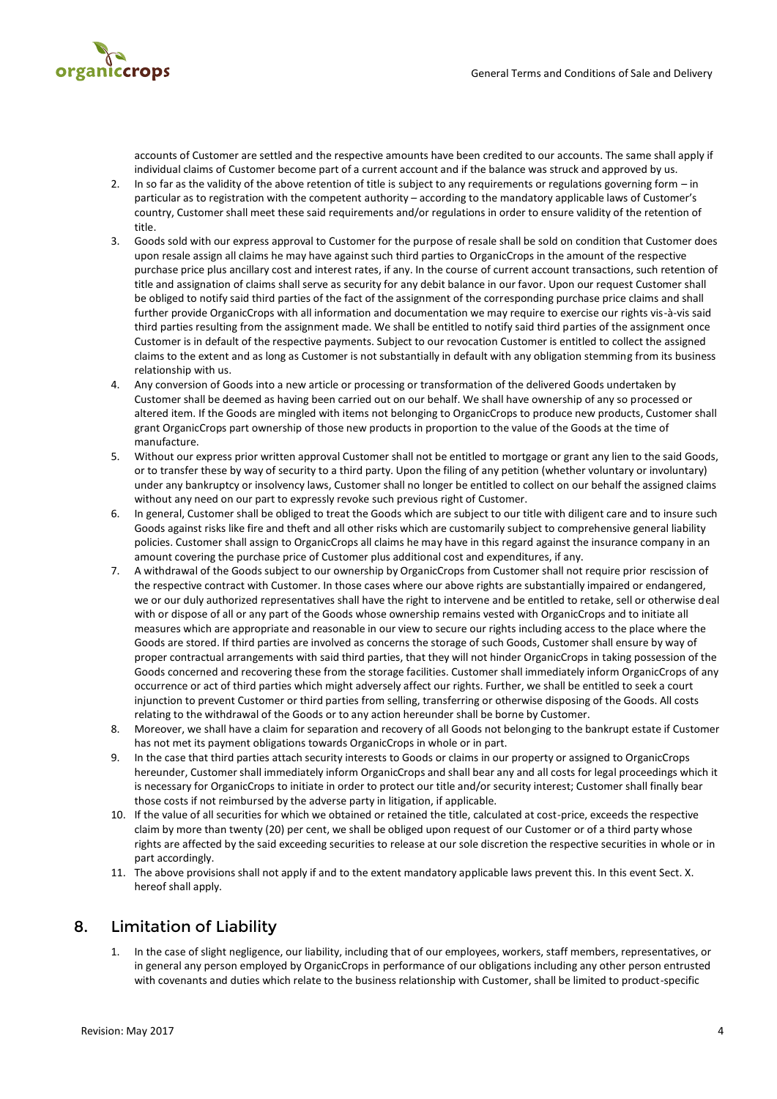

accounts of Customer are settled and the respective amounts have been credited to our accounts. The same shall apply if individual claims of Customer become part of a current account and if the balance was struck and approved by us.

- 2. In so far as the validity of the above retention of title is subject to any requirements or regulations governing form in particular as to registration with the competent authority – according to the mandatory applicable laws of Customer's country, Customer shall meet these said requirements and/or regulations in order to ensure validity of the retention of title.
- 3. Goods sold with our express approval to Customer for the purpose of resale shall be sold on condition that Customer does upon resale assign all claims he may have against such third parties to OrganicCrops in the amount of the respective purchase price plus ancillary cost and interest rates, if any. In the course of current account transactions, such retention of title and assignation of claims shall serve as security for any debit balance in our favor. Upon our request Customer shall be obliged to notify said third parties of the fact of the assignment of the corresponding purchase price claims and shall further provide OrganicCrops with all information and documentation we may require to exercise our rights vis-à-vis said third parties resulting from the assignment made. We shall be entitled to notify said third parties of the assignment once Customer is in default of the respective payments. Subject to our revocation Customer is entitled to collect the assigned claims to the extent and as long as Customer is not substantially in default with any obligation stemming from its business relationship with us.
- 4. Any conversion of Goods into a new article or processing or transformation of the delivered Goods undertaken by Customer shall be deemed as having been carried out on our behalf. We shall have ownership of any so processed or altered item. If the Goods are mingled with items not belonging to OrganicCrops to produce new products, Customer shall grant OrganicCrops part ownership of those new products in proportion to the value of the Goods at the time of manufacture.
- 5. Without our express prior written approval Customer shall not be entitled to mortgage or grant any lien to the said Goods, or to transfer these by way of security to a third party. Upon the filing of any petition (whether voluntary or involuntary) under any bankruptcy or insolvency laws, Customer shall no longer be entitled to collect on our behalf the assigned claims without any need on our part to expressly revoke such previous right of Customer.
- 6. In general, Customer shall be obliged to treat the Goods which are subject to our title with diligent care and to insure such Goods against risks like fire and theft and all other risks which are customarily subject to comprehensive general liability policies. Customer shall assign to OrganicCrops all claims he may have in this regard against the insurance company in an amount covering the purchase price of Customer plus additional cost and expenditures, if any.
- 7. A withdrawal of the Goods subject to our ownership by OrganicCrops from Customer shall not require prior rescission of the respective contract with Customer. In those cases where our above rights are substantially impaired or endangered, we or our duly authorized representatives shall have the right to intervene and be entitled to retake, sell or otherwise deal with or dispose of all or any part of the Goods whose ownership remains vested with OrganicCrops and to initiate all measures which are appropriate and reasonable in our view to secure our rights including access to the place where the Goods are stored. If third parties are involved as concerns the storage of such Goods, Customer shall ensure by way of proper contractual arrangements with said third parties, that they will not hinder OrganicCrops in taking possession of the Goods concerned and recovering these from the storage facilities. Customer shall immediately inform OrganicCrops of any occurrence or act of third parties which might adversely affect our rights. Further, we shall be entitled to seek a court injunction to prevent Customer or third parties from selling, transferring or otherwise disposing of the Goods. All costs relating to the withdrawal of the Goods or to any action hereunder shall be borne by Customer.
- 8. Moreover, we shall have a claim for separation and recovery of all Goods not belonging to the bankrupt estate if Customer has not met its payment obligations towards OrganicCrops in whole or in part.
- 9. In the case that third parties attach security interests to Goods or claims in our property or assigned to OrganicCrops hereunder, Customer shall immediately inform OrganicCrops and shall bear any and all costs for legal proceedings which it is necessary for OrganicCrops to initiate in order to protect our title and/or security interest; Customer shall finally bear those costs if not reimbursed by the adverse party in litigation, if applicable.
- 10. If the value of all securities for which we obtained or retained the title, calculated at cost-price, exceeds the respective claim by more than twenty (20) per cent, we shall be obliged upon request of our Customer or of a third party whose rights are affected by the said exceeding securities to release at our sole discretion the respective securities in whole or in part accordingly.
- 11. The above provisions shall not apply if and to the extent mandatory applicable laws prevent this. In this event Sect. X. hereof shall apply.

#### 8. Limitation of Liability

In the case of slight negligence, our liability, including that of our employees, workers, staff members, representatives, or in general any person employed by OrganicCrops in performance of our obligations including any other person entrusted with covenants and duties which relate to the business relationship with Customer, shall be limited to product-specific